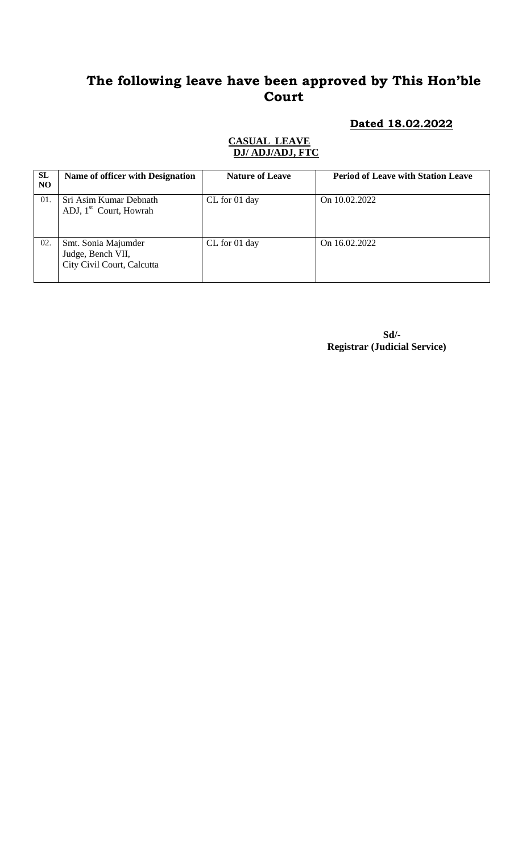# **The following leave have been approved by This Hon'ble Court**

## **Dated 18.02.2022**

### **CASUAL LEAVE DJ/ ADJ/ADJ, FTC**

| SL<br>N <sub>O</sub> | Name of officer with Designation                                       | <b>Nature of Leave</b> | <b>Period of Leave with Station Leave</b> |
|----------------------|------------------------------------------------------------------------|------------------------|-------------------------------------------|
| 01.                  | Sri Asim Kumar Debnath<br>ADJ, 1 <sup>st</sup> Court, Howrah           | CL for 01 day          | On 10.02.2022                             |
| 02.                  | Smt. Sonia Majumder<br>Judge, Bench VII,<br>City Civil Court, Calcutta | CL for 01 day          | On 16.02.2022                             |

 **Sd/- Registrar (Judicial Service)**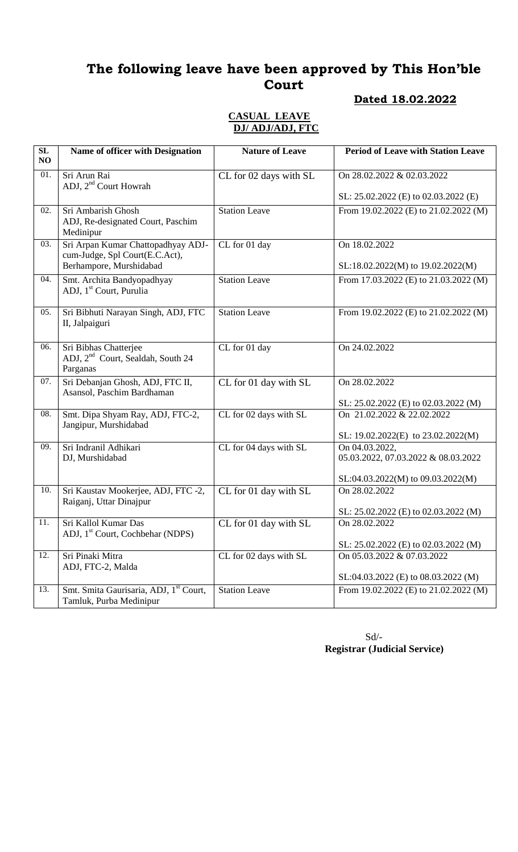# **The following leave have been approved by This Hon'ble Court**

## **Dated 18.02.2022**

## **CASUAL LEAVE DJ/ ADJ/ADJ, FTC**

| SL<br>NO | Name of officer with Designation                                                                | <b>Nature of Leave</b>                    | <b>Period of Leave with Station Leave</b>                          |
|----------|-------------------------------------------------------------------------------------------------|-------------------------------------------|--------------------------------------------------------------------|
| 01.      | Sri Arun Rai<br>ADJ, 2 <sup>nd</sup> Court Howrah                                               | CL for 02 days with SL                    | On 28.02.2022 & 02.03.2022                                         |
|          |                                                                                                 |                                           | SL: 25.02.2022 (E) to 02.03.2022 (E)                               |
| 02.      | Sri Ambarish Ghosh<br>ADJ, Re-designated Court, Paschim<br>Medinipur                            | <b>Station Leave</b>                      | From 19.02.2022 (E) to 21.02.2022 (M)                              |
| 03.      | Sri Arpan Kumar Chattopadhyay ADJ-<br>cum-Judge, Spl Court(E.C.Act),<br>Berhampore, Murshidabad | CL for 01 day                             | On 18.02.2022<br>SL:18.02.2022(M) to 19.02.2022(M)                 |
| 04.      |                                                                                                 |                                           |                                                                    |
|          | Smt. Archita Bandyopadhyay<br>ADJ, 1 <sup>st</sup> Court, Purulia                               | <b>Station Leave</b>                      | From 17.03.2022 (E) to 21.03.2022 (M)                              |
| 05.      | Sri Bibhuti Narayan Singh, ADJ, FTC<br>II, Jalpaiguri                                           | <b>Station Leave</b>                      | From 19.02.2022 (E) to 21.02.2022 (M)                              |
| 06.      | Sri Bibhas Chatterjee<br>ADJ, 2 <sup>nd</sup> Court, Sealdah, South 24<br>Parganas              | CL for 01 day                             | On 24.02.2022                                                      |
| 07.      | Sri Debanjan Ghosh, ADJ, FTC II,<br>Asansol, Paschim Bardhaman                                  | CL for 01 day with SL                     | On 28.02.2022                                                      |
| 08.      |                                                                                                 |                                           | SL: 25.02.2022 (E) to 02.03.2022 (M)<br>On 21.02.2022 & 22.02.2022 |
|          | Smt. Dipa Shyam Ray, ADJ, FTC-2,<br>Jangipur, Murshidabad                                       | CL for 02 days with SL                    | SL: $19.02.2022(E)$ to $23.02.2022(M)$                             |
| 09.      | Sri Indranil Adhikari                                                                           | CL for 04 days with SL                    | On 04.03.2022,                                                     |
|          | DJ, Murshidabad                                                                                 |                                           | 05.03.2022, 07.03.2022 & 08.03.2022                                |
|          |                                                                                                 |                                           | SL:04.03.2022(M) to 09.03.2022(M)                                  |
| 10.      | Sri Kaustav Mookerjee, ADJ, FTC -2,<br>Raiganj, Uttar Dinajpur                                  | CL for 01 day with SL                     | On 28.02.2022                                                      |
|          |                                                                                                 |                                           | SL: 25.02.2022 (E) to 02.03.2022 (M)                               |
| 11.      | Sri Kallol Kumar Das<br>ADJ, 1 <sup>st</sup> Court, Cochbehar (NDPS)                            | $\overline{\text{CL}}$ for 01 day with SL | On 28.02.2022                                                      |
|          |                                                                                                 |                                           | SL: 25.02.2022 (E) to 02.03.2022 (M)                               |
| 12.      | Sri Pinaki Mitra<br>ADJ, FTC-2, Malda                                                           | CL for 02 days with SL                    | On 05.03.2022 & 07.03.2022                                         |
|          |                                                                                                 |                                           | SL:04.03.2022 (E) to 08.03.2022 (M)                                |
| 13.      | Smt. Smita Gaurisaria, ADJ, 1 <sup>st</sup> Court,<br>Tamluk, Purba Medinipur                   | <b>Station Leave</b>                      | From 19.02.2022 (E) to 21.02.2022 (M)                              |

 Sd/-  **Registrar (Judicial Service)**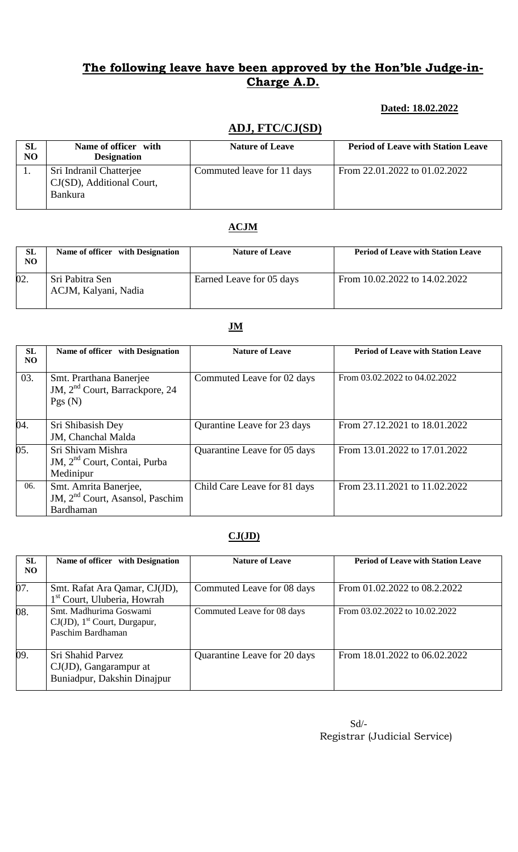## **The following leave have been approved by the Hon'ble Judge-in-Charge A.D.**

## **Dated: 18.02.2022**

## **ADJ, FTC/CJ(SD)**

| SL<br>N <sub>O</sub> | Name of officer with<br><b>Designation</b>                             | <b>Nature of Leave</b>     | <b>Period of Leave with Station Leave</b> |
|----------------------|------------------------------------------------------------------------|----------------------------|-------------------------------------------|
|                      | Sri Indranil Chatterjee<br>CJ(SD), Additional Court,<br><b>Bankura</b> | Commuted leave for 11 days | From 22.01.2022 to 01.02.2022             |

## **ACJM**

| <b>SL</b><br>NO. | Name of officer with Designation        | <b>Nature of Leave</b>   | <b>Period of Leave with Station Leave</b> |
|------------------|-----------------------------------------|--------------------------|-------------------------------------------|
| 02.              | Sri Pabitra Sen<br>ACJM, Kalyani, Nadia | Earned Leave for 05 days | From 10.02.2022 to 14.02.2022             |

#### **SL NO** Name of officer with Designation **Nature of Leave Period of Leave with Station Leave**  03. Smt. Prarthana Banerjee JM, 2<sup>nd</sup> Court, Barrackpore, 24 Pgs (N) Commuted Leave for 02 days From 03.02.2022 to 04.02.2022 04. Sri Shibasish Dey JM, Chanchal Malda Qurantine Leave for 23 days From 27.12.2021 to 18.01.2022 05. Sri Shivam Mishra JM, 2<sup>nd</sup> Court, Contai, Purba Medinipur Quarantine Leave for 05 days From 13.01.2022 to 17.01.2022 06. Smt. Amrita Banerjee, JM, 2<sup>nd</sup> Court, Asansol, Paschim Bardhaman Child Care Leave for 81 days From 23.11.2021 to 11.02.2022

### **CJ(JD)**

| SL<br>NO.         | Name of officer with Designation                                                           | <b>Nature of Leave</b>       | <b>Period of Leave with Station Leave</b> |
|-------------------|--------------------------------------------------------------------------------------------|------------------------------|-------------------------------------------|
| 07.               | Smt. Rafat Ara Qamar, CJ(JD),<br>1 <sup>st</sup> Court, Uluberia, Howrah                   | Commuted Leave for 08 days   | From 01.02.2022 to 08.2.2022              |
| $\overline{08}$ . | Smt. Madhurima Goswami<br>$CJ(JD)$ , 1 <sup>st</sup> Court, Durgapur,<br>Paschim Bardhaman | Commuted Leave for 08 days   | From 03.02.2022 to 10.02.2022             |
| 09.               | Sri Shahid Parvez<br>$CJ(JD)$ , Gangarampur at<br>Buniadpur, Dakshin Dinajpur              | Quarantine Leave for 20 days | From 18.01.2022 to 06.02.2022             |

#### **JM**